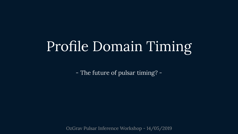# Profile Domain Timing

- The future of pulsar timing? -

OzGrav Pulsar Inference Workshop - 14/05/2019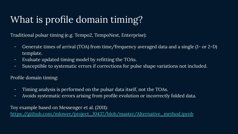# What is profile domain timing?

Traditional pulsar timing (e.g. Tempo2, TempoNest, Enterprise):

- Generate times of arrival (TOA) from time/frequency averaged data and a single (1- or 2-D) template.
- Evaluate updated timing model by refitting the TOAs.
- Susceptible to systematic errors if corrections for pulse shape variations not included.

Profile domain timing:

- Timing analysis is performed on the pulsar data itself, not the TOAs.
- Avoids systematic errors arising from profile evolution or incorrectly folded data.

Toy example based on Messenger et al. (2011):

[https://github.com/mlower/project\\_J0437/blob/master/Alternative\\_method.ipynb](https://github.com/mlower/project_J0437/blob/master/Alternative_method.ipynb)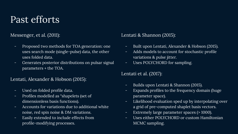## Past efforts

Messenger, et al. (2011):

- Proposed two methods for TOA generation: one uses search mode (single-pulse) data, the other uses folded data.
- Generates posterior distributions on pulsar signal parameters + the TOA.

#### Lentati, Alexander & Hobson (2015):

- Used on folded profile data.
- Profiles modelled as "shapelets (set of dimensionless basis functions).
- Accounts for variations due to additional white noise, red spin noise & DM variations.
- Easily extended to include effects from profile-modifying processes.

#### Lentati & Shannon (2015):

- Built upon Lentati, Alexander & Hobson (2015).
- Adds models to account for stochastic profile variations & pulse jitter.
- Uses POLYCHORD for sampling.

#### Lentati et al. (2017):

- Builds upon Lentati & Shannon (2015).
- Expands profiles to the frequency domain (huge parameter space).
- Likelihood evaluation sped up by interpolating over a grid of pre-computed shaplet basis vectors.
- Extremely large parameter spaces (> 1000).
- Uses either POLYCHORD or custom Hamiltonian MCMC sampling.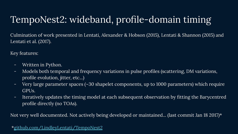# TempoNest2: wideband, profile-domain timing

Culmination of work presented in Lentati, Alexander & Hobson (2015), Lentati & Shannon (2015) and Lentati et al. (2017).

Key features:

- Written in Python.
- Models both temporal and frequency variations in pulse profiles (scattering, DM variations, profile evolution, jitter, etc...)
- Very large parameter spaces (~30 shapelet components, up to 1000 parameters) which require GPUs.
- Iteratively updates the timing model at each subsequent observation by fitting the Barycentred profile directly (no TOAs).

Not very well documented. Not actively being developed or maintained... (last commit Jan 18 2017)\*

\*[github.com/LindleyLentati/TempoNest2](https://github.com/LindleyLentati/TempoNest2)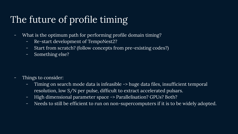# The future of profile timing

- What is the optimum path for performing profile domain timing?
	- Re-start development of TempoNest2?
	- Start from scratch? (follow concepts from pre-existing codes?)
	- Something else?

- Things to consider:
	- Timing on search mode data is infeasible -> huge data files, insufficient temporal resolution, low  $S/N$  per pulse, difficult to extract accelerated pulsars.
	- High dimensional parameter space -> Parallelisation? GPUs? Both?
	- Needs to still be efficient to run on non-supercomputers if it is to be widely adopted.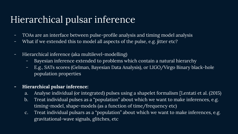# Hierarchical pulsar inference

- TOAs are an interface between pulse-profile analysis and timing model analysis
- What if we extended this to model all aspects of the pulse, e.g. jitter etc?
- Hierarchical inference (aka multilevel-modelling)
	- Bayesian inference extended to problems which contain a natural hierarchy
	- E.g., SATs scores (Gelman, Bayesian Data Analysis), or LIGO/Virgo Binary black-hole population properties
- **- Hierarchical pulsar inference:**
	- a. Analyse individual (or integrated) pulses using a shapelet formalism [Lentati et al. (2015)
	- b. Treat individual pulses as a "population" about which we want to make inferences, e.g. timing-model, shape-models (as a function of time/frequency etc)
	- c. Treat individual pulsars as a "population" about which we want to make inferences, e.g. gravitational-wave signals, glitches, etc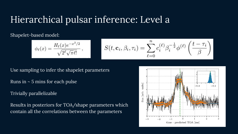### Hierarchical pulsar inference: Level a

Shapelet-based model:

$$
\phi_{\ell}(x) = \frac{H_{\ell}(x)e^{-x^2/2}}{\sqrt{2^{\ell}\sqrt{\pi\ell!}}}, \qquad S(t, \mathbf{c}_i, \beta_i, \tau_i) = \sum_{\ell=0}^n c_i^{(\ell)} \beta_i^{-\frac{1}{2}} \phi^{(\ell)}\left(\frac{t-\tau_i}{\beta}\right)
$$

Use sampling to infer the shapelet parameters

Runs in  $\sim$  5 mins for each pulse

Trivially parallelizable

Results in posteriors for TOA/shape parameters which contain all the correlations between the parameters

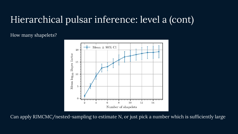### Hierarchical pulsar inference: level a (cont)

How many shapelets?



Can apply RJMCMC/nested-sampling to estimate N, or just pick a number which is sufficiently large